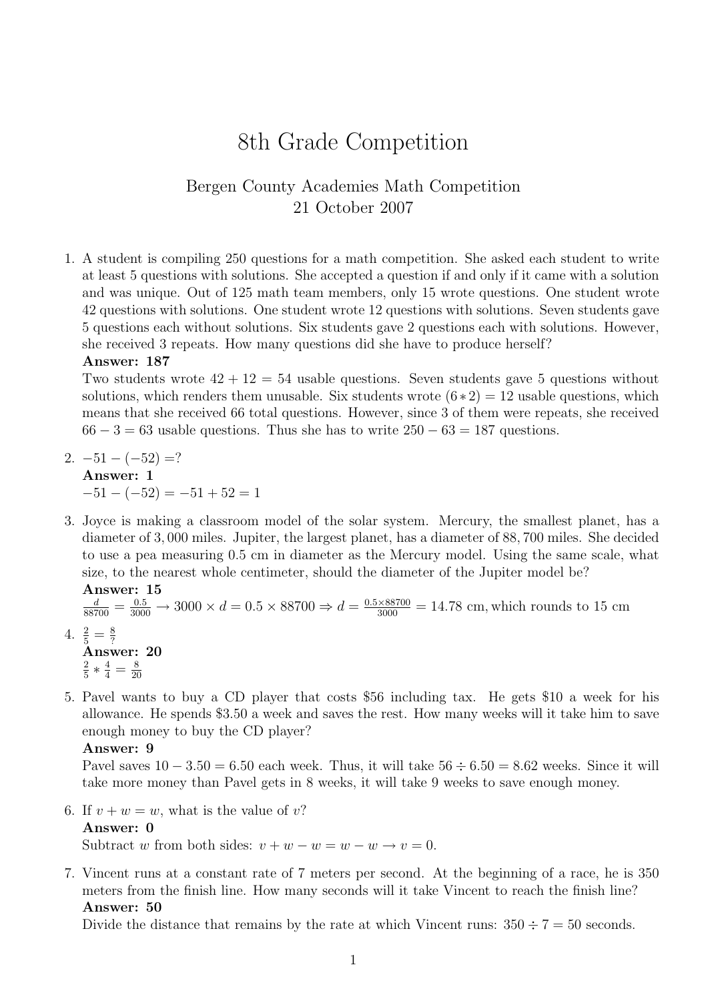# 8th Grade Competition

## Bergen County Academies Math Competition 21 October 2007

1. A student is compiling 250 questions for a math competition. She asked each student to write at least 5 questions with solutions. She accepted a question if and only if it came with a solution and was unique. Out of 125 math team members, only 15 wrote questions. One student wrote 42 questions with solutions. One student wrote 12 questions with solutions. Seven students gave 5 questions each without solutions. Six students gave 2 questions each with solutions. However, she received 3 repeats. How many questions did she have to produce herself?

#### Answer: 187

Two students wrote  $42 + 12 = 54$  usable questions. Seven students gave 5 questions without solutions, which renders them unusable. Six students wrote  $(6 * 2) = 12$  usable questions, which means that she received 66 total questions. However, since 3 of them were repeats, she received  $66 - 3 = 63$  usable questions. Thus she has to write  $250 - 63 = 187$  questions.

- 2.  $-51 (-52) = ?$ Answer: 1  $-51 - (-52) = -51 + 52 = 1$
- 3. Joyce is making a classroom model of the solar system. Mercury, the smallest planet, has a diameter of 3, 000 miles. Jupiter, the largest planet, has a diameter of 88, 700 miles. She decided to use a pea measuring 0.5 cm in diameter as the Mercury model. Using the same scale, what size, to the nearest whole centimeter, should the diameter of the Jupiter model be? Answer: 15

$$
\frac{d}{88700} = \frac{0.5}{3000} \to 3000 \times d = 0.5 \times 88700 \Rightarrow d = \frac{0.5 \times 88700}{3000} = 14.78
$$
 cm, which rounds to 15 cm

- 4.  $\frac{2}{5} = \frac{8}{?}$  $\mathrm{5}$  – ?<br>Answer: 20 2  $\frac{2}{5} * \frac{4}{4} = \frac{8}{20}$ 20
- 5. Pavel wants to buy a CD player that costs \$56 including tax. He gets \$10 a week for his allowance. He spends \$3.50 a week and saves the rest. How many weeks will it take him to save enough money to buy the CD player?

### Answer: 9

Pavel saves  $10 - 3.50 = 6.50$  each week. Thus, it will take  $56 \div 6.50 = 8.62$  weeks. Since it will take more money than Pavel gets in 8 weeks, it will take 9 weeks to save enough money.

- 6. If  $v + w = w$ , what is the value of v? Answer: 0 Subtract w from both sides:  $v + w - w = w - w \rightarrow v = 0$ .
- 7. Vincent runs at a constant rate of 7 meters per second. At the beginning of a race, he is 350 meters from the finish line. How many seconds will it take Vincent to reach the finish line? Answer: 50

Divide the distance that remains by the rate at which Vincent runs:  $350 \div 7 = 50$  seconds.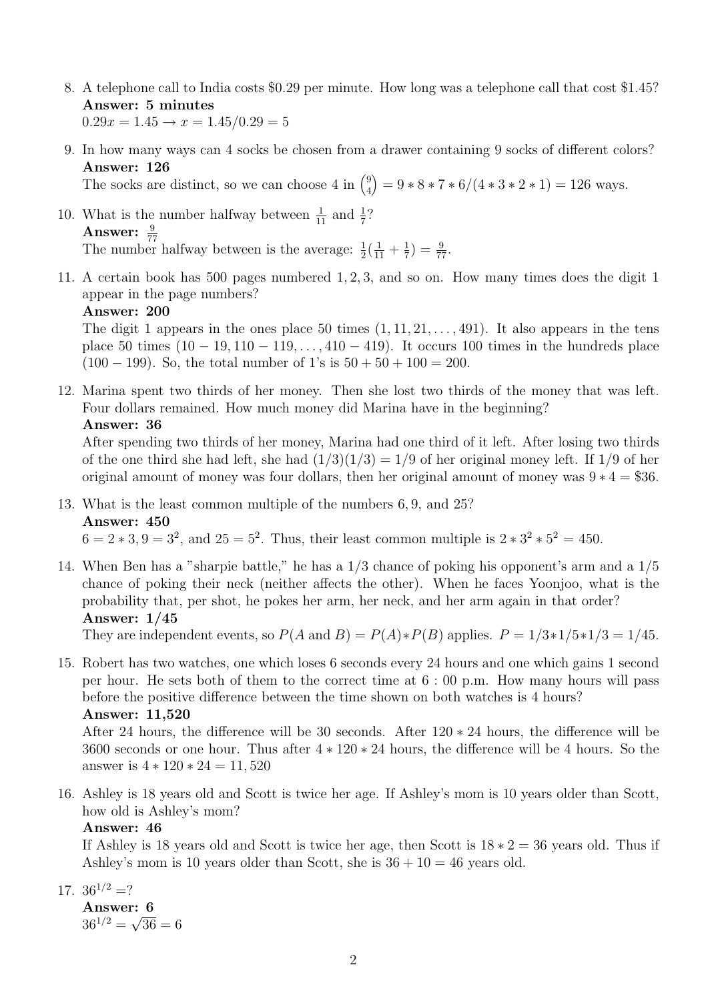- 8. A telephone call to India costs \$0.29 per minute. How long was a telephone call that cost \$1.45? Answer: 5 minutes  $0.29x = 1.45 \rightarrow x = 1.45/0.29 = 5$
- 9. In how many ways can 4 socks be chosen from a drawer containing 9 socks of different colors? Answer: 126

The socks are distinct, so we can choose 4 in  $\binom{9}{4}$ 4  $= 9 * 8 * 7 * 6/(4 * 3 * 2 * 1) = 126$  ways.

10. What is the number halfway between  $\frac{1}{11}$  and  $\frac{1}{7}$ ? Answer:  $\frac{9}{77}$ The number halfway between is the average:  $\frac{1}{2}(\frac{1}{11} + \frac{1}{7})$  $(\frac{1}{7}) = \frac{9}{77}.$ 

11. A certain book has 500 pages numbered 1, 2, 3, and so on. How many times does the digit 1 appear in the page numbers?

## Answer: 200

The digit 1 appears in the ones place 50 times  $(1, 11, 21, \ldots, 491)$ . It also appears in the tens place 50 times  $(10 - 19, 110 - 119, \ldots, 410 - 419)$ . It occurs 100 times in the hundreds place (100 − 199). So, the total number of 1's is  $50 + 50 + 100 = 200$ .

12. Marina spent two thirds of her money. Then she lost two thirds of the money that was left. Four dollars remained. How much money did Marina have in the beginning?

## Answer: 36

After spending two thirds of her money, Marina had one third of it left. After losing two thirds of the one third she had left, she had  $(1/3)(1/3) = 1/9$  of her original money left. If  $1/9$  of her original amount of money was four dollars, then her original amount of money was  $9 * 4 = $36$ .

- 13. What is the least common multiple of the numbers 6, 9, and 25? Answer: 450  $6 = 2 \times 3, 9 = 3^2$ , and  $25 = 5^2$ . Thus, their least common multiple is  $2 \times 3^2 \times 5^2 = 450$ .
- 14. When Ben has a "sharpie battle," he has a 1/3 chance of poking his opponent's arm and a 1/5 chance of poking their neck (neither affects the other). When he faces Yoonjoo, what is the probability that, per shot, he pokes her arm, her neck, and her arm again in that order? Answer: 1/45

They are independent events, so  $P(A \text{ and } B) = P(A) * P(B)$  applies.  $P = 1/3 * 1/5 * 1/3 = 1/45$ .

15. Robert has two watches, one which loses 6 seconds every 24 hours and one which gains 1 second per hour. He sets both of them to the correct time at 6 : 00 p.m. How many hours will pass before the positive difference between the time shown on both watches is 4 hours? Answer: 11,520

After 24 hours, the difference will be 30 seconds. After 120 ∗ 24 hours, the difference will be 3600 seconds or one hour. Thus after 4 ∗ 120 ∗ 24 hours, the difference will be 4 hours. So the answer is  $4 * 120 * 24 = 11,520$ 

16. Ashley is 18 years old and Scott is twice her age. If Ashley's mom is 10 years older than Scott, how old is Ashley's mom?

## Answer: 46

If Ashley is 18 years old and Scott is twice her age, then Scott is  $18 * 2 = 36$  years old. Thus if Ashley's mom is 10 years older than Scott, she is  $36 + 10 = 46$  years old.

17.  $36^{1/2}$  =?

Answer: 6  $36^{1/2} =$  $^{\circ}{\cdot}$  $36 = 6$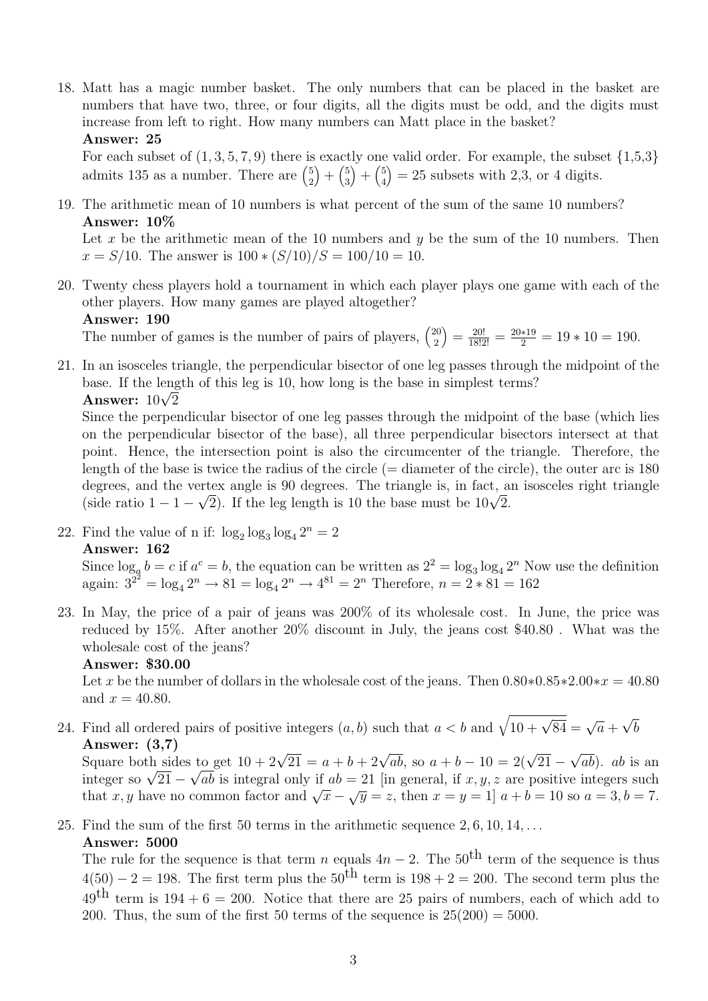18. Matt has a magic number basket. The only numbers that can be placed in the basket are numbers that have two, three, or four digits, all the digits must be odd, and the digits must increase from left to right. How many numbers can Matt place in the basket? Answer: 25

For each subset of  $(1, 3, 5, 7, 9)$  there is exactly one valid order. For example, the subset  $\{1,5,3\}$ admits 135 as a number. There are  $\binom{5}{2}$  $+ \binom{5}{3}$  $+\binom{5}{4}$  $= 25$  subsets with 2,3, or 4 digits.

2

19. The arithmetic mean of 10 numbers is what percent of the sum of the same 10 numbers? Answer: 10%

3

Let x be the arithmetic mean of the 10 numbers and y be the sum of the 10 numbers. Then  $x = S/10$ . The answer is  $100 * (S/10)/S = 100/10 = 10$ .

4

20. Twenty chess players hold a tournament in which each player plays one game with each of the other players. How many games are played altogether?

Answer: 190

The number of games is the number of pairs of players,  $\binom{20}{2}$ 2  $=\frac{20!}{18!2!} = \frac{20*19}{2} = 19*10 = 190.$ 

21. In an isosceles triangle, the perpendicular bisector of one leg passes through the midpoint of the base. If the length of this leg is 10, how long is the base in simplest terms?  $\frac{\text{base. II the length}}{\text{Answer: } 10\sqrt{2}}$ 

Since the perpendicular bisector of one leg passes through the midpoint of the base (which lies on the perpendicular bisector of the base), all three perpendicular bisectors intersect at that point. Hence, the intersection point is also the circumcenter of the triangle. Therefore, the length of the base is twice the radius of the circle  $(=$  diameter of the circle), the outer arc is 180 degrees, and the vertex angle is 90 degrees. The triangle is, in fact, an isosceles right triangle degrees, and the vertex angle is 90 degrees. The triangle is, in fact, a (side ratio  $1 - 1 - \sqrt{2}$ ). If the leg length is 10 the base must be  $10\sqrt{2}$ .

22. Find the value of n if:  $\log_2 \log_3 \log_4 2^n = 2$ Answer: 162

Since  $\log_a b = c$  if  $a^c = b$ , the equation can be written as  $2^2 = \log_3 \log_4 2^n$  Now use the definition again:  $3^{2^2} = \log_4 2^n \rightarrow 81 = \log_4 2^n \rightarrow 4^{81} = 2^n$  Therefore,  $n = 2 * 81 = 162$ 

23. In May, the price of a pair of jeans was 200% of its wholesale cost. In June, the price was reduced by 15%. After another 20% discount in July, the jeans cost \$40.80 . What was the wholesale cost of the jeans?

## Answer: \$30.00

Let x be the number of dollars in the wholesale cost of the jeans. Then  $0.80*0.85*2.00*x = 40.80$ and  $x = 40.80$ .

24. Find all ordered pairs of positive integers  $(a, b)$  such that  $a < b$  and  $\sqrt{10 + \sqrt{84}} = \sqrt{a} + \sqrt{20}$ √ b Answer: (3,7)

Answer: (3,7)<br>Square both sides to get  $10 + 2\sqrt{21} = a + b + 2\sqrt{ab}$ , so  $a + b - 10 = 2(\sqrt{21} -$ √  $a_0$  to get  $10 + 2\sqrt{21} = a + b + 2\sqrt{ab}$ , so  $a + b - 10 = 2(\sqrt{21} - \sqrt{ab})$ . ab is an Square both sides to get  $10 + 2\sqrt{21} = a + b + 2\sqrt{a}b$ , so  $a + b - 10 = 2(\sqrt{21} - \sqrt{a}b)$ . as an is an integer so  $\sqrt{21} - \sqrt{ab}$  is integral only if  $ab = 21$  [in general, if  $x, y, z$  are positive integers such that x, y have no common factor and  $\sqrt{x} - \sqrt{y} = z$ , then  $x = y = 1$  a + b = 10 so  $a = 3$ , b = 7.

25. Find the sum of the first 50 terms in the arithmetic sequence  $2, 6, 10, 14, \ldots$ Answer: 5000

The rule for the sequence is that term n equals  $4n - 2$ . The 50<sup>th</sup> term of the sequence is thus  $4(50) - 2 = 198$ . The first term plus the  $50^{\text{th}}$  term is  $198 + 2 = 200$ . The second term plus the  $49<sup>th</sup>$  term is  $194 + 6 = 200$ . Notice that there are 25 pairs of numbers, each of which add to 200. Thus, the sum of the first 50 terms of the sequence is  $25(200) = 5000$ .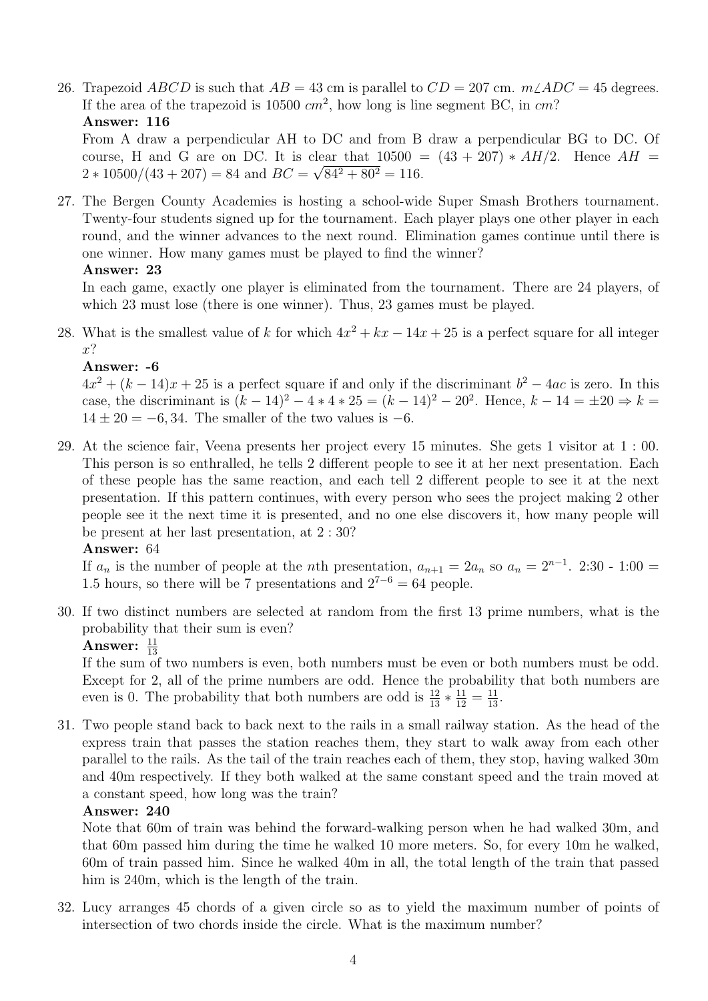26. Trapezoid ABCD is such that  $AB = 43$  cm is parallel to  $CD = 207$  cm.  $m\angle ADC = 45$  degrees. If the area of the trapezoid is 10500  $cm^2$ , how long is line segment BC, in  $cm$ ? Answer: 116 From A draw a perpendicular AH to DC and from B draw a perpendicular BG to DC. Of

course, H and G are on DC. It is clear that  $10500 = (43 + 207) * AH/2$ . Hence  $AH =$  $2 * 10500/(43 + 207) = 84$  and  $BC = \sqrt{84^2 + 80^2} = 116$ .

27. The Bergen County Academies is hosting a school-wide Super Smash Brothers tournament. Twenty-four students signed up for the tournament. Each player plays one other player in each round, and the winner advances to the next round. Elimination games continue until there is one winner. How many games must be played to find the winner? Answer: 23

In each game, exactly one player is eliminated from the tournament. There are 24 players, of which 23 must lose (there is one winner). Thus, 23 games must be played.

28. What is the smallest value of k for which  $4x^2 + kx - 14x + 25$  is a perfect square for all integer x?

## Answer: -6

 $4x^2 + (k-14)x + 25$  is a perfect square if and only if the discriminant  $b^2 - 4ac$  is zero. In this case, the discriminant is  $(k-14)^2 - 4 * 4 * 25 = (k-14)^2 - 20^2$ . Hence,  $k-14 = \pm 20 \Rightarrow k =$  $14 \pm 20 = -6, 34$ . The smaller of the two values is  $-6$ .

29. At the science fair, Veena presents her project every 15 minutes. She gets 1 visitor at 1 : 00. This person is so enthralled, he tells 2 different people to see it at her next presentation. Each of these people has the same reaction, and each tell 2 different people to see it at the next presentation. If this pattern continues, with every person who sees the project making 2 other people see it the next time it is presented, and no one else discovers it, how many people will be present at her last presentation, at 2 : 30?

## Answer: 64

If  $a_n$  is the number of people at the *n*th presentation,  $a_{n+1} = 2a_n$  so  $a_n = 2^{n-1}$ . 2:30 - 1:00 = 1.5 hours, so there will be 7 presentations and  $2^{7-6} = 64$  people.

30. If two distinct numbers are selected at random from the first 13 prime numbers, what is the probability that their sum is even?

## Answer:  $\frac{11}{13}$

If the sum of two numbers is even, both numbers must be even or both numbers must be odd. Except for 2, all of the prime numbers are odd. Hence the probability that both numbers are even is 0. The probability that both numbers are odd is  $\frac{12}{13} * \frac{11}{12} = \frac{11}{13}$ .

31. Two people stand back to back next to the rails in a small railway station. As the head of the express train that passes the station reaches them, they start to walk away from each other parallel to the rails. As the tail of the train reaches each of them, they stop, having walked 30m and 40m respectively. If they both walked at the same constant speed and the train moved at a constant speed, how long was the train?

## Answer: 240

Note that 60m of train was behind the forward-walking person when he had walked 30m, and that 60m passed him during the time he walked 10 more meters. So, for every 10m he walked, 60m of train passed him. Since he walked 40m in all, the total length of the train that passed him is 240m, which is the length of the train.

32. Lucy arranges 45 chords of a given circle so as to yield the maximum number of points of intersection of two chords inside the circle. What is the maximum number?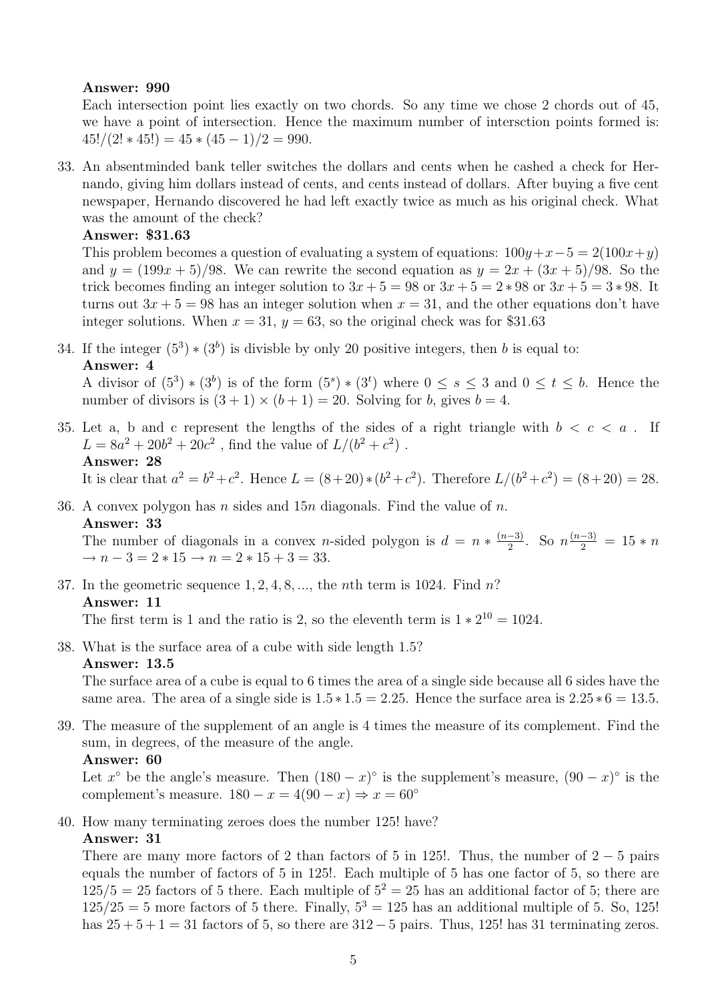### Answer: 990

Each intersection point lies exactly on two chords. So any time we chose 2 chords out of 45, we have a point of intersection. Hence the maximum number of intersction points formed is:  $45!/(2! * 45!) = 45 * (45 - 1)/2 = 990.$ 

33. An absentminded bank teller switches the dollars and cents when he cashed a check for Hernando, giving him dollars instead of cents, and cents instead of dollars. After buying a five cent newspaper, Hernando discovered he had left exactly twice as much as his original check. What was the amount of the check?

Answer: \$31.63

This problem becomes a question of evaluating a system of equations:  $100y+x-5 = 2(100x+y)$ and  $y = (199x + 5)/98$ . We can rewrite the second equation as  $y = 2x + (3x + 5)/98$ . So the trick becomes finding an integer solution to  $3x + 5 = 98$  or  $3x + 5 = 2*98$  or  $3x + 5 = 3*98$ . It turns out  $3x + 5 = 98$  has an integer solution when  $x = 31$ , and the other equations don't have integer solutions. When  $x = 31$ ,  $y = 63$ , so the original check was for \$31.63

34. If the integer  $(5^3) * (3^b)$  is divisble by only 20 positive integers, then b is equal to: Answer: 4

A divisor of  $(5^3)*(3^b)$  is of the form  $(5^s)*(3^t)$  where  $0 \le s \le 3$  and  $0 \le t \le b$ . Hence the number of divisors is  $(3 + 1) \times (b + 1) = 20$ . Solving for b, gives  $b = 4$ .

- 35. Let a, b and c represent the lengths of the sides of a right triangle with  $b < c < a$ . If  $L = 8a^2 + 20b^2 + 20c^2$ , find the value of  $L/(b^2 + c^2)$ . Answer: 28 It is clear that  $a^2 = b^2 + c^2$ . Hence  $L = (8+20)*(b^2+c^2)$ . Therefore  $L/(b^2+c^2) = (8+20) = 28$ .
- 36. A convex polygon has n sides and  $15n$  diagonals. Find the value of n. Answer: 33

The number of diagonals in a convex *n*-sided polygon is  $d = n * \frac{(n-3)}{2}$  $\frac{(-3)}{2}$ . So  $n \frac{(n-3)}{2} = 15 * n$  $\rightarrow$   $n-3$  = 2  $*$  15  $\rightarrow$   $n = 2$   $*$  15  $+$  3 = 33.

37. In the geometric sequence  $1, 2, 4, 8, \dots$ , the *n*th term is 1024. Find *n*? Answer: 11 The first term is 1 and the ratio is 2, so the eleventh term is  $1 * 2^{10} = 1024$ .

38. What is the surface area of a cube with side length 1.5? Answer: 13.5

The surface area of a cube is equal to 6 times the area of a single side because all 6 sides have the same area. The area of a single side is  $1.5 * 1.5 = 2.25$ . Hence the surface area is  $2.25 * 6 = 13.5$ .

39. The measure of the supplement of an angle is 4 times the measure of its complement. Find the sum, in degrees, of the measure of the angle.

## Answer: 60

Let  $x^{\circ}$  be the angle's measure. Then  $(180 - x)^{\circ}$  is the supplement's measure,  $(90 - x)^{\circ}$  is the complement's measure.  $180 - x = 4(90 - x) \Rightarrow x = 60^{\circ}$ 

### 40. How many terminating zeroes does the number 125! have? Answer: 31

There are many more factors of 2 than factors of 5 in 125!. Thus, the number of  $2 - 5$  pairs equals the number of factors of 5 in 125!. Each multiple of 5 has one factor of 5, so there are  $125/5 = 25$  factors of 5 there. Each multiple of  $5^2 = 25$  has an additional factor of 5; there are  $125/25 = 5$  more factors of 5 there. Finally,  $5^3 = 125$  has an additional multiple of 5. So, 125! has  $25 + 5 + 1 = 31$  factors of 5, so there are  $312 - 5$  pairs. Thus, 125! has 31 terminating zeros.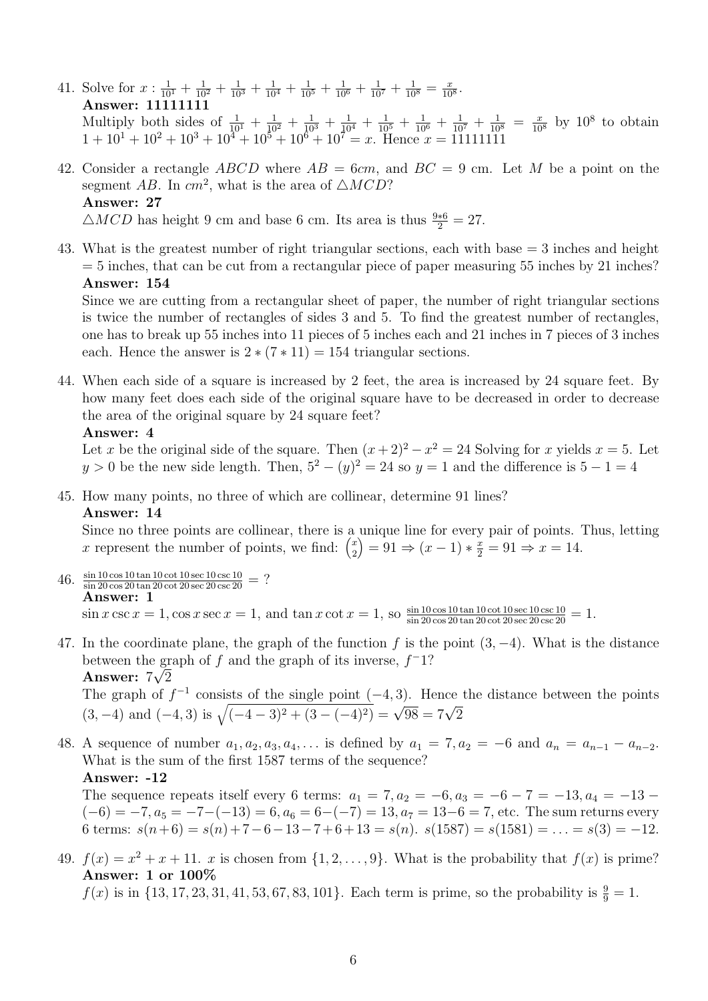- 41. Solve for  $x: \frac{1}{10^1} + \frac{1}{10^2} + \frac{1}{10^3} + \frac{1}{10^4} + \frac{1}{10^5} + \frac{1}{10^6} + \frac{1}{10^7} + \frac{1}{10^8} = \frac{x}{10}$  $rac{x}{10^8}$ . Answer: 11111111 Multiply both sides of  $\frac{1}{10^1} + \frac{1}{10^2} + \frac{1}{10^3} + \frac{1}{10^4} + \frac{1}{10^5} + \frac{1}{10^6} + \frac{1}{10^7} + \frac{1}{10^8} = \frac{x}{10^8}$  by 10<sup>8</sup> to obtain  $1 + 10^1 + 10^2 + 10^3 + 10^4 + 10^5 + 10^6 + 10^7 = x$ . Hence  $x = 11111111$
- 42. Consider a rectangle ABCD where  $AB = 6cm$ , and  $BC = 9$  cm. Let M be a point on the segment AB. In  $cm^2$ , what is the area of  $\triangle MCD$ ? Answer: 27  $\triangle MCD$  has height 9 cm and base 6 cm. Its area is thus  $\frac{9*6}{2} = 27$ .
- 43. What is the greatest number of right triangular sections, each with base = 3 inches and height  $= 5$  inches, that can be cut from a rectangular piece of paper measuring 55 inches by 21 inches? Answer: 154

Since we are cutting from a rectangular sheet of paper, the number of right triangular sections is twice the number of rectangles of sides 3 and 5. To find the greatest number of rectangles, one has to break up 55 inches into 11 pieces of 5 inches each and 21 inches in 7 pieces of 3 inches each. Hence the answer is  $2 \times (7 \times 11) = 154$  triangular sections.

44. When each side of a square is increased by 2 feet, the area is increased by 24 square feet. By how many feet does each side of the original square have to be decreased in order to decrease the area of the original square by 24 square feet?

## Answer: 4

Let x be the original side of the square. Then  $(x+2)^2 - x^2 = 24$  Solving for x yields  $x = 5$ . Let  $y > 0$  be the new side length. Then,  $5^2 - (y)^2 = 24$  so  $y = 1$  and the difference is  $5 - 1 = 4$ 

## 45. How many points, no three of which are collinear, determine 91 lines?

### Answer: 14

Since no three points are collinear, there is a unique line for every pair of points. Thus, letting x represent the number of points, we find:  $\binom{x}{2}$ 2  $= 91 \Rightarrow (x - 1) * \frac{x}{2} = 91 \Rightarrow x = 14.$ 

46.  $\frac{\sin 10 \cos 10 \tan 10 \cot 10 \sec 10 \csc 10}{\sin 20 \cos 20 \tan 20 \cot 20 \sec 20 \csc 20} = ?$ Answer: 1

 $\sin x \csc x = 1$ ,  $\cos x \sec x = 1$ , and  $\tan x \cot x = 1$ , so  $\frac{\sin 10 \cos 10 \tan 10 \cot 10 \sec 10 \csc 10}{\sin 20 \cos 20 \tan 20 \cot 20 \sec 20 \csc 20} = 1$ .

- 47. In the coordinate plane, the graph of the function f is the point  $(3, -4)$ . What is the distance between the graph of f and the graph of its inverse,  $f^{-1}$ ? Answer:  $7\sqrt{2}$ The graph of  $f^{-1}$  consists of the single point  $(-4, 3)$ . Hence the distance between the points (3, –4) and (–4, 3) is  $\sqrt{(-4-3)^2 + (3-(-4)^2)} = \sqrt{98} = 7\sqrt{2}$
- 48. A sequence of number  $a_1, a_2, a_3, a_4, \ldots$  is defined by  $a_1 = 7, a_2 = -6$  and  $a_n = a_{n-1} a_{n-2}$ . What is the sum of the first 1587 terms of the sequence?

### Answer: -12

The sequence repeats itself every 6 terms:  $a_1 = 7, a_2 = -6, a_3 = -6 - 7 = -13, a_4 = -13 (-6) = -7, a_5 = -7-(-13) = 6, a_6 = 6-(-7) = 13, a_7 = 13-6 = 7$ , etc. The sum returns every 6 terms:  $s(n+6) = s(n) + 7 - 6 - 13 - 7 + 6 + 13 = s(n)$ .  $s(1587) = s(1581) = ... = s(3) = -12$ .

49.  $f(x) = x^2 + x + 11$ . x is chosen from  $\{1, 2, ..., 9\}$ . What is the probability that  $f(x)$  is prime? Answer: 1 or 100%

 $f(x)$  is in  $\{13, 17, 23, 31, 41, 53, 67, 83, 101\}$ . Each term is prime, so the probability is  $\frac{9}{9} = 1$ .